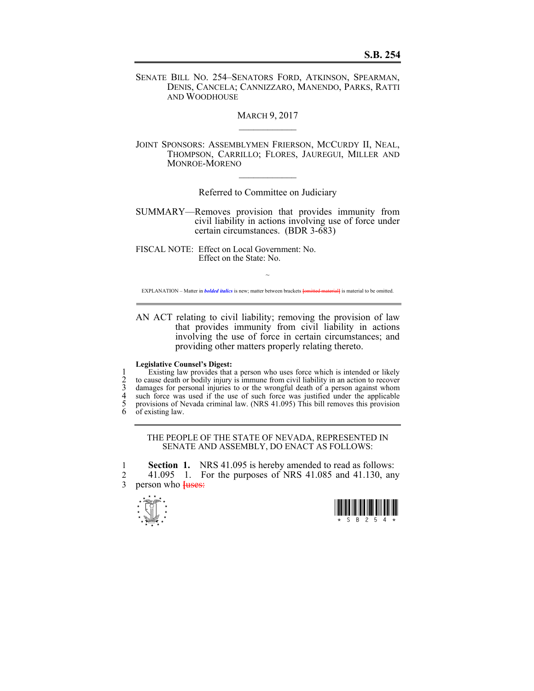SENATE BILL NO. 254–SENATORS FORD, ATKINSON, SPEARMAN, DENIS, CANCELA; CANNIZZARO, MANENDO, PARKS, RATTI AND WOODHOUSE

**MARCH 9, 2017** 

JOINT SPONSORS: ASSEMBLYMEN FRIERSON, MCCURDY II, NEAL, THOMPSON, CARRILLO; FLORES, JAUREGUI, MILLER AND MONROE-MORENO

Referred to Committee on Judiciary

 $\mathcal{L}_\text{max}$ 

SUMMARY—Removes provision that provides immunity from civil liability in actions involving use of force under certain circumstances. (BDR 3-683)

FISCAL NOTE: Effect on Local Government: No. Effect on the State: No.

~ EXPLANATION – Matter in *bolded italics* is new; matter between brackets **[**omitted material**]** is material to be omitted.

AN ACT relating to civil liability; removing the provision of law that provides immunity from civil liability in actions involving the use of force in certain circumstances; and providing other matters properly relating thereto.

## **Legislative Counsel's Digest:**

1 Existing law provides that a person who uses force which is intended or likely<br>2 to cause death or bodily injury is immune from civil liability in an action to recover<br>3 damages for personal injuries to or the wrongful d 2 to cause death or bodily injury is immune from civil liability in an action to recover 3 damages for personal injuries to or the wrongful death of a person against whom 4 such force was used if the use of such force was justified under the applicable 5 provisions of Nevada criminal law. (NRS 41.095) This bill removes this provision of existing law.

## THE PEOPLE OF THE STATE OF NEVADA, REPRESENTED IN SENATE AND ASSEMBLY, DO ENACT AS FOLLOWS:

1 **Section 1.** NRS 41.095 is hereby amended to read as follows: 2 41.095 1. For the purposes of NRS 41.085 and 41.130, any person who  $\frac{118885}{11000}$ person who **[uses:**